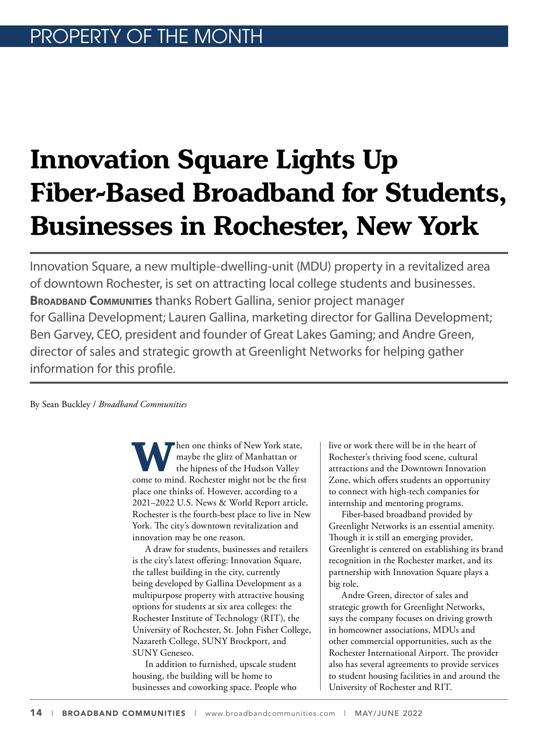# **Innovation Square Lights Up Fiber-Based Broadband for Students, Businesses in Rochester, New York**

Innovation Square, a new multiple-dwelling-unit (MDU) property in a revitalized area of downtown Rochester, is set on attracting local college students and businesses. **BROADBAND COMMUNITIES** thanks Robert Gallina, senior project manager for Gallina Development; Lauren Gallina, marketing director for Gallina Development; Ben Garvey, CEO, president and founder of Great Lakes Gaming; and Andre Green, director of sales and strategic growth at Greenlight Networks for helping gather information for this profile.

By Sean Buckley / *Broadband Communities* 

**W**hen one thinks of New York state, maybe the glitz of Manhattan or the hipness of the Hudson Valley come to mind. Rochester might not be the first maybe the glitz of Manhattan or the hipness of the Hudson Valley place one thinks of. However, according to a 2021–2022 U.S. News & World Report article, Rochester is the fourth-best place to live in New York. The city's downtown revitalization and innovation may be one reason.

A draw for students, businesses and retailers is the city's latest offering: Innovation Square, the tallest building in the city, currently being developed by Gallina Development as a multipurpose property with attractive housing options for students at six area colleges: the Rochester Institute of Technology (RIT), the University of Rochester, St. John Fisher College, Nazareth College, SUNY Brockport, and SUNY Geneseo.

In addition to furnished, upscale student housing, the building will be home to businesses and coworking space. People who live or work there will be in the heart of Rochester's thriving food scene, cultural attractions and the Downtown Innovation Zone, which offers students an opportunity to connect with high-tech companies for internship and mentoring programs.

Fiber-based broadband provided by Greenlight Networks is an essential amenity. Though it is still an emerging provider, Greenlight is centered on establishing its brand recognition in the Rochester market, and its partnership with Innovation Square plays a big role.

Andre Green, director of sales and strategic growth for Greenlight Networks, says the company focuses on driving growth in homeowner associations, MDUs and other commercial opportunities, such as the Rochester International Airport. The provider also has several agreements to provide services to student housing facilities in and around the University of Rochester and RIT.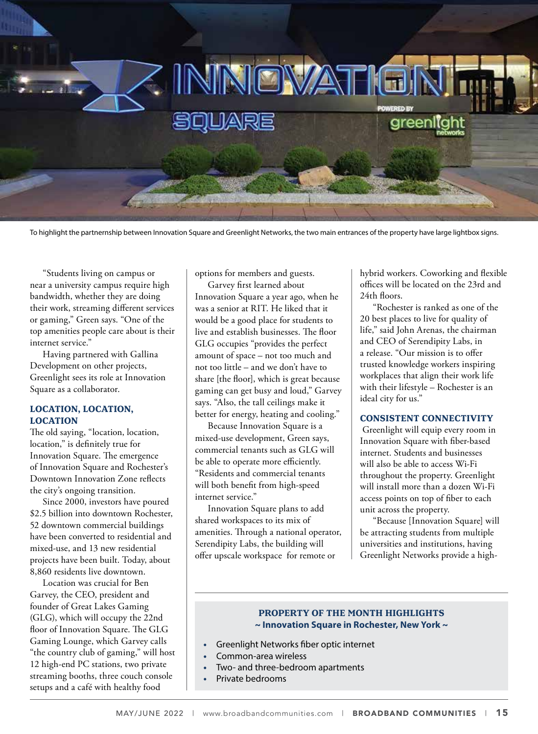

To highlight the partnernship between Innovation Square and Greenlight Networks, the two main entrances of the property have large lightbox signs.

"Students living on campus or near a university campus require high bandwidth, whether they are doing their work, streaming different services or gaming," Green says. "One of the top amenities people care about is their internet service."

Having partnered with Gallina Development on other projects, Greenlight sees its role at Innovation Square as a collaborator.

#### **LOCATION, LOCATION, LOCATION**

The old saying, "location, location, location," is definitely true for Innovation Square. The emergence of Innovation Square and Rochester's Downtown Innovation Zone reflects the city's ongoing transition.

Since 2000, investors have poured \$2.5 billion into downtown Rochester, 52 downtown commercial buildings have been converted to residential and mixed-use, and 13 new residential projects have been built. Today, about 8,860 residents live downtown.

Location was crucial for Ben Garvey, the CEO, president and founder of Great Lakes Gaming (GLG), which will occupy the 22nd floor of Innovation Square. The GLG Gaming Lounge, which Garvey calls "the country club of gaming," will host 12 high-end PC stations, two private streaming booths, three couch console setups and a café with healthy food

options for members and guests.

Garvey first learned about Innovation Square a year ago, when he was a senior at RIT. He liked that it would be a good place for students to live and establish businesses. The floor GLG occupies "provides the perfect amount of space – not too much and not too little – and we don't have to share [the floor], which is great because gaming can get busy and loud," Garvey says. "Also, the tall ceilings make it better for energy, heating and cooling."

Because Innovation Square is a mixed-use development, Green says, commercial tenants such as GLG will be able to operate more efficiently. "Residents and commercial tenants will both benefit from high-speed internet service."

Innovation Square plans to add shared workspaces to its mix of amenities. Through a national operator, Serendipity Labs, the building will offer upscale workspace for remote or

hybrid workers. Coworking and flexible offices will be located on the 23rd and 24th floors.

"Rochester is ranked as one of the 20 best places to live for quality of life," said John Arenas, the chairman and CEO of Serendipity Labs, in a release. "Our mission is to offer trusted knowledge workers inspiring workplaces that align their work life with their lifestyle – Rochester is an ideal city for us."

#### **CONSISTENT CONNECTIVITY**

 Greenlight will equip every room in Innovation Square with fiber-based internet. Students and businesses will also be able to access Wi-Fi throughout the property. Greenlight will install more than a dozen Wi-Fi access points on top of fiber to each unit across the property.

"Because [Innovation Square] will be attracting students from multiple universities and institutions, having Greenlight Networks provide a high-

#### **PROPERTY OF THE MONTH HIGHLIGHTS ~ Innovation Square in Rochester, New York ~**

- **•** Greenlight Networks fiber optic internet
- **•** Common-area wireless
- **•** Two- and three-bedroom apartments
- **•** Private bedrooms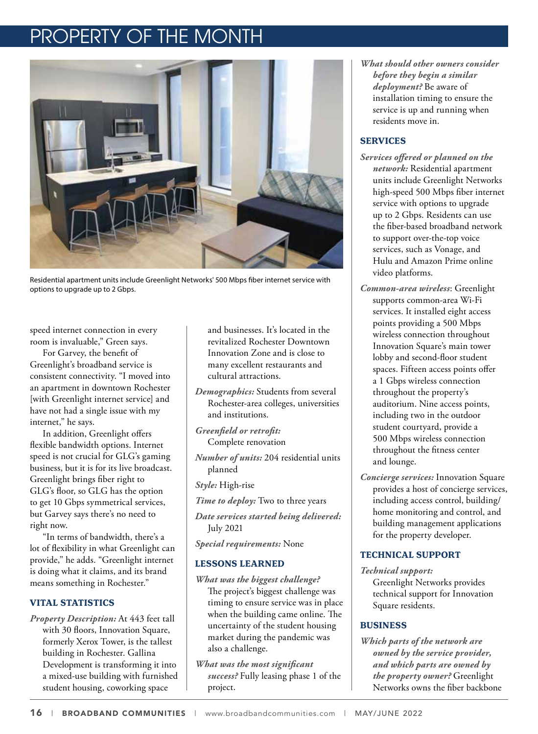# OPERTY OF THE MONTH



Residential apartment units include Greenlight Networks' 500 Mbps fiber internet service with options to upgrade up to 2 Gbps.

speed internet connection in every room is invaluable," Green says.

For Garvey, the benefit of Greenlight's broadband service is consistent connectivity. "I moved into an apartment in downtown Rochester [with Greenlight internet service] and have not had a single issue with my internet," he says.

In addition, Greenlight offers flexible bandwidth options. Internet speed is not crucial for GLG's gaming business, but it is for its live broadcast. Greenlight brings fiber right to GLG's floor, so GLG has the option to get 10 Gbps symmetrical services, but Garvey says there's no need to right now.

"In terms of bandwidth, there's a lot of flexibility in what Greenlight can provide," he adds. "Greenlight internet is doing what it claims, and its brand means something in Rochester."

# **VITAL STATISTICS**

*Property Description:* At 443 feet tall with 30 floors, Innovation Square, formerly Xerox Tower, is the tallest building in Rochester. Gallina Development is transforming it into a mixed-use building with furnished student housing, coworking space

and businesses. It's located in the revitalized Rochester Downtown Innovation Zone and is close to many excellent restaurants and cultural attractions.

*Demographics:* Students from several Rochester-area colleges, universities and institutions.

*Greenfield or retrofit:* Complete renovation

*Number of units:* 204 residential units planned

*Style:* High-rise

*Time to deploy:* Two to three years

*Date services started being delivered:* July 2021

*Special requirements:* None

# **LESSONS LEARNED**

- *What was the biggest challenge?* The project's biggest challenge was timing to ensure service was in place when the building came online. The uncertainty of the student housing market during the pandemic was also a challenge.
- *What was the most significant success?* Fully leasing phase 1 of the project.

*What should other owners consider before they begin a similar deployment?* Be aware of installation timing to ensure the service is up and running when residents move in.

# **SERVICES**

- *Services offered or planned on the network:* Residential apartment units include Greenlight Networks high-speed 500 Mbps fiber internet service with options to upgrade up to 2 Gbps. Residents can use the fiber-based broadband network to support over-the-top voice services, such as Vonage, and Hulu and Amazon Prime online video platforms.
- *Common-area wireless*: Greenlight supports common-area Wi-Fi services. It installed eight access points providing a 500 Mbps wireless connection throughout Innovation Square's main tower lobby and second-floor student spaces. Fifteen access points offer a 1 Gbps wireless connection throughout the property's auditorium. Nine access points, including two in the outdoor student courtyard, provide a 500 Mbps wireless connection throughout the fitness center and lounge.
- *Concierge services:* Innovation Square provides a host of concierge services, including access control, building/ home monitoring and control, and building management applications for the property developer.

# **TECHNICAL SUPPORT**

*Technical support:* Greenlight Networks provides technical support for Innovation Square residents.

# **BUSINESS**

*Which parts of the network are owned by the service provider, and which parts are owned by the property owner?* Greenlight Networks owns the fiber backbone